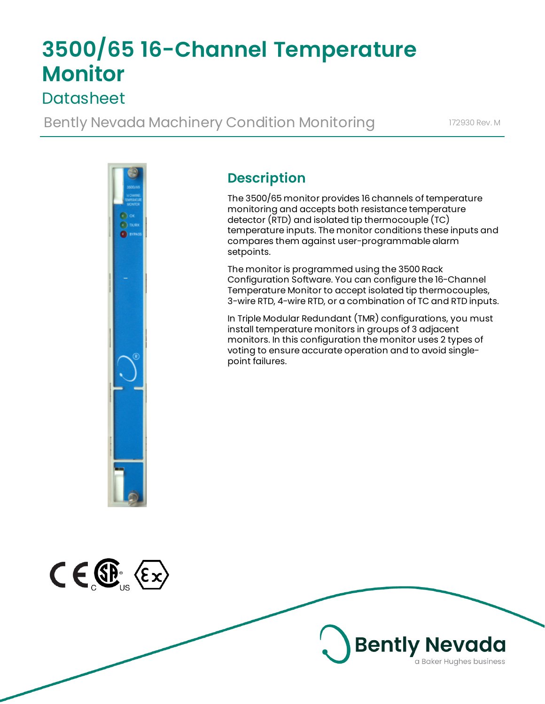# **3500/65 16-Channel Temperature Monitor**

# **Datasheet**

Bently Nevada Machinery Condition Monitoring 172930 Rev. M



### **Description**

The 3500/65 monitor provides 16 channels of temperature monitoring and accepts both resistance temperature detector (RTD) and isolated tip thermocouple (TC) temperature inputs. The monitor conditions these inputs and compares them against user-programmable alarm setpoints.

The monitor is programmed using the 3500 Rack Configuration Software. You can configure the 16-Channel Temperature Monitor to accept isolated tip thermocouples, 3-wire RTD, 4-wire RTD, or a combination of TC and RTD inputs.

In Triple Modular Redundant (TMR) configurations, you must install temperature monitors in groups of 3 adjacent monitors. In this configuration the monitor uses 2 types of voting to ensure accurate operation and to avoid singlepoint failures.



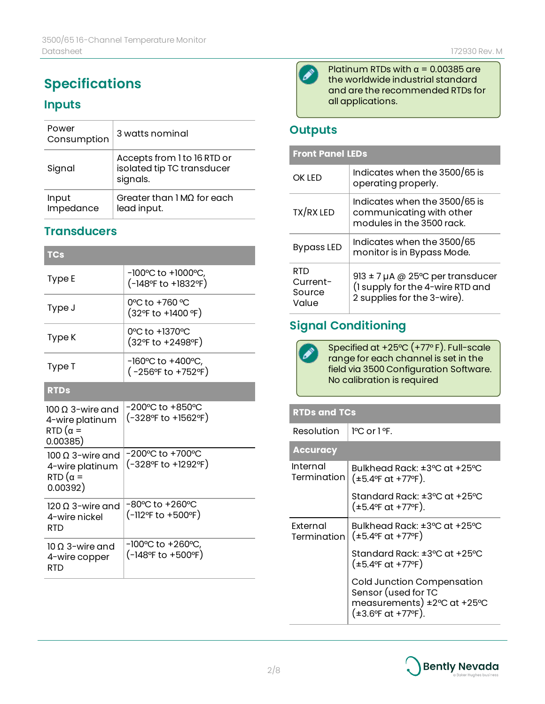### **Specifications**

### **Inputs**

| Power<br>Consumption | 3 watts nominal                                                       |
|----------------------|-----------------------------------------------------------------------|
| Signal               | Accepts from 1 to 16 RTD or<br>isolated tip TC transducer<br>signals. |
| Input<br>Impedance   | Greater than $1 \text{M}\Omega$ for each<br>lead input.               |

### **Transducers**

| <b>TCs</b>                                                                   |                                                               |
|------------------------------------------------------------------------------|---------------------------------------------------------------|
| Type E                                                                       | $-100^{\circ}$ C to $+1000^{\circ}$ C,<br>(-148ºF to +1832ºF) |
| Type J                                                                       | 0°C to +760 °C<br>(32°F to +1400 °F)                          |
| Type K                                                                       | 0°C to +1370°C<br>(32°F to +2498°F)                           |
| Type T                                                                       | -160°C to +400°C,<br>(-256°F to +752°F)                       |
| <b>RTDs</b>                                                                  |                                                               |
| 100 O 3-wire and<br>4-wire platinum<br>RTD ( $\alpha =$<br>0.00385)          | -200°C to +850°C<br>(-328°F to +1562°F)                       |
| $100 \Omega$ 3-wire and<br>4-wire platinum<br>$RTD$ ( $\alpha =$<br>0.00392) | $-200^{\circ}$ C to $+700^{\circ}$ C<br>(-328°F to +1292°F)   |
| $120 \Omega$ 3-wire and<br>4-wire nickel<br><b>RTD</b>                       | -80°C to +260°C<br>(-112°F to +500°F)                         |
| $10 \Omega$ 3-wire and<br>4-wire copper<br>RTD                               | -100°C to +260°C<br>(-148°F to +500°F)                        |



Platinum RTDs with  $\alpha$  = 0.00385 are the worldwide industrial standard and are the recommended RTDs for all applications.

### **Outputs**

| <b>Front Panel LEDs</b>                   |                                                                                                         |
|-------------------------------------------|---------------------------------------------------------------------------------------------------------|
| <b>OK IFD</b>                             | Indicates when the 3500/65 is<br>operating properly.                                                    |
| TX/RX LED                                 | Indicates when the 3500/65 is<br>communicating with other<br>modules in the 3500 rack.                  |
| <b>Bypass LED</b>                         | Indicates when the 3500/65<br>monitor is in Bypass Mode.                                                |
| <b>RTD</b><br>Current-<br>Source<br>Value | 913 $\pm$ 7 µA @ 25°C per transducer<br>(I supply for the 4-wire RTD and<br>2 supplies for the 3-wire). |

### **Signal Conditioning**

Specified at +25°C (+77° F). Full-scale range for each channel is set in the field via 3500 Configuration Software. No calibration is required

#### **RTDs and TCs**

Resolution  $|$  <sup>1</sup>°C or 1°F.

| <b>Accuracy</b>         |                                                                                                                               |
|-------------------------|-------------------------------------------------------------------------------------------------------------------------------|
| Internal<br>Termination | Bulkhead Rack: ±3°C at +25°C<br>$(\pm 5.4$ °F at +77 °F).                                                                     |
|                         | Standard Rack: ±3°C at +25°C<br>$(\pm 5.4$ °F at +77°F).                                                                      |
| Fxternal<br>Termination | Bulkhead Rack: ±3°C at +25°C<br>$(\pm 5.4$ °F at +77 °F)                                                                      |
|                         | Standard Rack: ±3°C at +25°C<br>$(\pm 5.4$ °F at +77 °F)                                                                      |
|                         | Cold Junction Compensation<br>Sensor (used for TC<br>measurements) ±2°C at +25°C<br>$(\pm 3.6^{\circ}$ F at $+77^{\circ}$ F). |

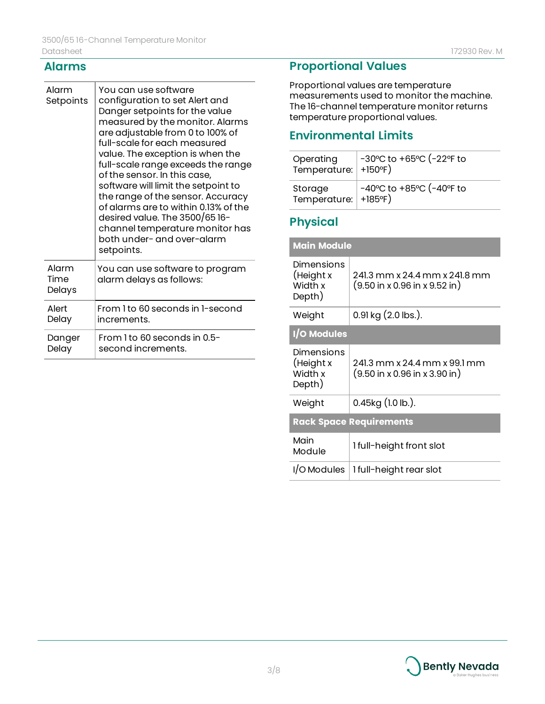#### **Alarms**

 $\top$ 

| Alarm<br>Setpoints      | You can use software<br>configuration to set Alert and<br>Danger setpoints for the value<br>measured by the monitor. Alarms<br>are adjustable from 0 to 100% of<br>full-scale for each measured<br>value. The exception is when the<br>full-scale range exceeds the range<br>of the sensor. In this case,<br>software will limit the setpoint to<br>the range of the sensor. Accuracy<br>of alarms are to within 0.13% of the<br>desired value. The 3500/6516-<br>channel temperature monitor has<br>both under- and over-alarm<br>setpoints. |
|-------------------------|-----------------------------------------------------------------------------------------------------------------------------------------------------------------------------------------------------------------------------------------------------------------------------------------------------------------------------------------------------------------------------------------------------------------------------------------------------------------------------------------------------------------------------------------------|
| Alarm<br>Time<br>Delays | You can use software to program<br>alarm delays as follows:                                                                                                                                                                                                                                                                                                                                                                                                                                                                                   |
| Alert                   | From 1 to 60 seconds in 1-second                                                                                                                                                                                                                                                                                                                                                                                                                                                                                                              |
| Delay                   | increments.                                                                                                                                                                                                                                                                                                                                                                                                                                                                                                                                   |
| Danger                  | From 1 to 60 seconds in 0.5-                                                                                                                                                                                                                                                                                                                                                                                                                                                                                                                  |
| Delay                   | second increments.                                                                                                                                                                                                                                                                                                                                                                                                                                                                                                                            |

### **Proportional Values**

Proportional values are temperature measurements used to monitor the machine. The 16-channel temperature monitor returns temperature proportional values.

### **Environmental Limits**

| Operating<br>Temperature:   +150°F) | -30°C to +65°C (-22°F to                                |
|-------------------------------------|---------------------------------------------------------|
| Storage<br>Temperature:   +185°F)   | $-40^{\circ}$ C to $+85^{\circ}$ C ( $-40^{\circ}$ F to |

### **Physical**

| <b>Main Module</b>                           |                                                                                            |  |
|----------------------------------------------|--------------------------------------------------------------------------------------------|--|
| Dimensions<br>(Height x<br>Width x<br>Depth) | 241.3 mm x 24.4 mm x 241.8 mm<br>$(9.50 \text{ in } x 0.96 \text{ in } x 9.52 \text{ in})$ |  |
| Weight                                       | $0.91$ kg $(2.0$ lbs.).                                                                    |  |
| I/O Modules                                  |                                                                                            |  |
| Dimensions<br>(Height x<br>Width x<br>Depth) | 241.3 mm x 24.4 mm x 99.1 mm<br>$(9.50 \text{ in } x 0.96 \text{ in } x 3.90 \text{ in})$  |  |
| Weight                                       | $0.45$ kg $(1.0$ lb.).                                                                     |  |
| <b>Rack Space Requirements</b>               |                                                                                            |  |
| Main<br>Module                               | 1 full-height front slot                                                                   |  |
| I/O Modules                                  | 1 full-height rear slot                                                                    |  |

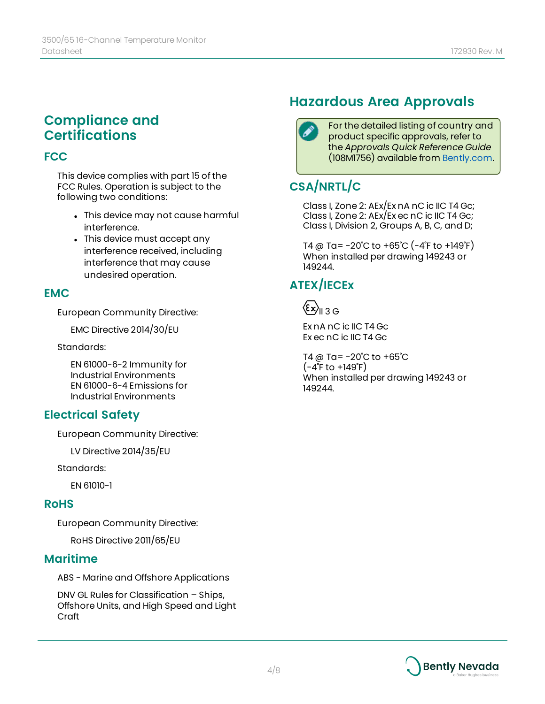### **Compliance and Certifications**

#### **FCC**

This device complies with part 15 of the FCC Rules. Operation is subject to the following two conditions:

- This device may not cause harmful interference.
- This device must accept any interference received, including interference that may cause undesired operation.

### **EMC**

European Community Directive:

EMC Directive 2014/30/EU

Standards:

EN 61000-6-2 Immunity for Industrial Environments EN 61000-6-4 Emissions for Industrial Environments

### **Electrical Safety**

European Community Directive:

LV Directive 2014/35/EU

Standards:

EN 61010-1

#### **RoHS**

European Community Directive:

RoHS Directive 2011/65/EU

#### **Maritime**

ABS - Marine and Offshore Applications

DNV GL Rules for Classification – Ships, Offshore Units, and High Speed and Light Craft

### **Hazardous Area Approvals**

For the detailed listing of country and product specific approvals, refer to the *Approvals Quick Reference Guide* (108M1756) available from [Bently.com.](http://www.bently.com/)

### **CSA/NRTL/C**

Class I, Zone 2: AEx/Ex nA nC ic IIC T4 Gc; Class I, Zone 2: AEx/Ex ec nC ic IIC T4 Gc; Class I, Division 2, Groups A, B, C, and D;

T4 @ Ta=  $-20^{\circ}$ C to  $+65^{\circ}$ C ( $-4^{\circ}$ F to  $+149^{\circ}$ F) When installed per drawing 149243 or 149244.

### **ATEX/IECEx**

 $\langle \epsilon \mathsf{x} \rangle_\mathsf{II}$  3 G

Ex nA nC ic IIC T4 Gc Ex ec nC ic IIC T4 Gc

T4 @ Ta= -20˚C to +65˚C  $(-4^{\circ}$ F to  $+149^{\circ}$ F) When installed per drawing 149243 or 149244.

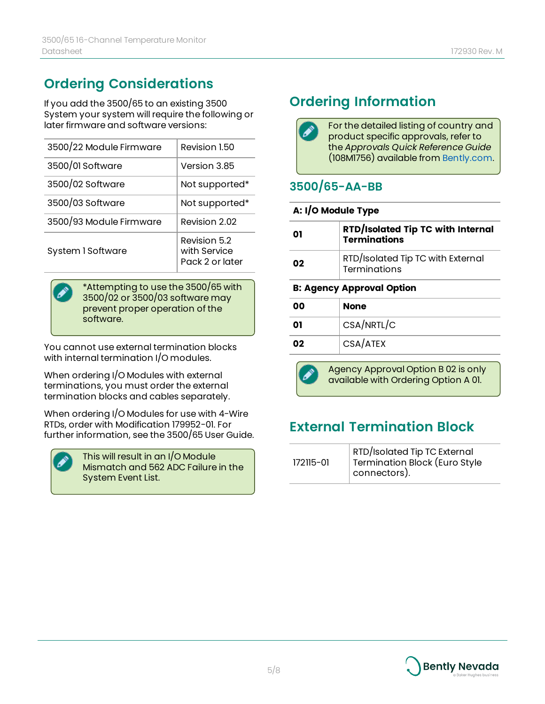# **Ordering Considerations**

If you add the 3500/65 to an existing 3500 System your system will require the following or later firmware and software versions:

| 3500/22 Module Firmware | Revision 1.50                                   |
|-------------------------|-------------------------------------------------|
| 3500/01 Software        | Version 3.85                                    |
| 3500/02 Software        | Not supported*                                  |
| 3500/03 Software        | Not supported*                                  |
| 3500/93 Module Firmware | Revision 2.02                                   |
| System 1 Software       | Revision 5.2<br>with Service<br>Pack 2 or later |

\*Attempting to use the 3500/65 with 3500/02 or 3500/03 software may prevent proper operation of the software.

You cannot use external termination blocks with internal termination I/O modules.

When ordering I/O Modules with external terminations, you must order the external termination blocks and cables separately.

When ordering I/O Modules for use with 4-Wire RTDs, order with Modification 179952-01. For further information, see the 3500/65 User Guide.



This will result in an I/O Module Mismatch and 562 ADC Failure in the System Event List.

## **Ordering Information**

For the detailed listing of country and product specific approvals, refer to the *Approvals Quick Reference Guide* (108M1756) available from [Bently.com.](http://www.bently.com/)

### **3500/65-AA-BB**

#### **A: I/O Module Type**

| 01 | <b>RTD/Isolated Tip TC with Internal</b><br>Terminations |
|----|----------------------------------------------------------|
| 02 | RTD/Isolated Tip TC with External<br>Terminations        |

#### **B: Agency Approval Option**

| 00 | <b>None</b> |
|----|-------------|
| 01 | CSA/NRTL/C  |
| 02 | CSA/ATEX    |



Agency Approval Option B 02 is only available with Ordering Option A 01.

### **External Termination Block**

| 172115-01 | <b>RTD/Isolated Tip TC External</b><br>Termination Block (Euro Style<br>  connectors). |
|-----------|----------------------------------------------------------------------------------------|
|-----------|----------------------------------------------------------------------------------------|

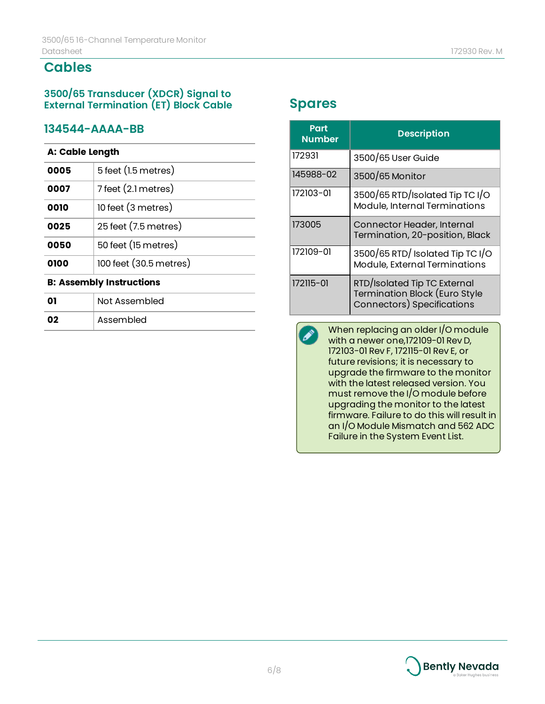### **Cables**

#### **3500/65 Transducer (XDCR) Signal to External Termination (ET) Block Cable**

#### **134544-AAAA-BB**

#### **A: Cable Length**

| <b>B: Assembly Instructions</b> |                        |
|---------------------------------|------------------------|
| 0100                            | 100 feet (30.5 metres) |
| 0050                            | 50 feet (15 metres)    |
| 0025                            | 25 feet (7.5 metres)   |
| 0010                            | 10 feet (3 metres)     |
| 0007                            | 7 feet (2.1 metres)    |
| 0005                            | 5 feet (1.5 metres)    |
|                                 |                        |

# **01** Not Assembled **02** Assembled

### **Spares**

| Part<br><b>Number</b> | <b>Description</b>                                                                                 |
|-----------------------|----------------------------------------------------------------------------------------------------|
| 172931                | 3500/65 User Guide                                                                                 |
| 145988-02             | 3500/65 Monitor                                                                                    |
| 172103-01             | 3500/65 RTD/Isolated Tip TC I/O<br>Module, Internal Terminations                                   |
| 173005                | Connector Header, Internal<br>Termination, 20-position, Black                                      |
| 172109-01             | 3500/65 RTD/ Isolated Tip TC I/O<br>Module, External Terminations                                  |
| 172115-01             | RTD/Isolated Tip TC External<br><b>Termination Block (Euro Style</b><br>Connectors) Specifications |

When replacing an older I/O module  $\mathscr{L}$ with a newer one,172109-01 Rev D, 172103-01 Rev F, 172115-01 Rev E, or future revisions; it is necessary to upgrade the firmware to the monitor with the latest released version. You must remove the I/O module before upgrading the monitor to the latest firmware. Failure to do this will result in an I/O Module Mismatch and 562 ADC Failure in the System Event List.

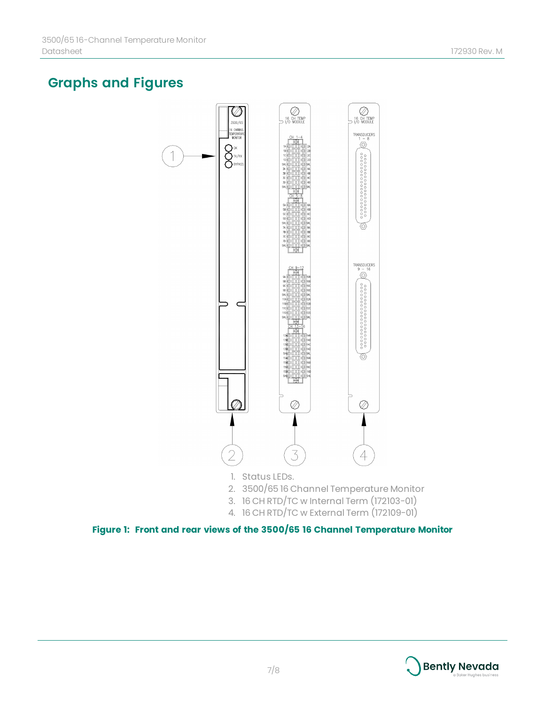## **Graphs and Figures**



- 2. 3500/65 16 Channel Temperature Monitor
- 3. 16 CH RTD/TC w Internal Term (172103-01)
- 4. 16 CH RTD/TC w External Term (172109-01)

**Figure 1: Front and rear views of the 3500/65 16 Channel Temperature Monitor**